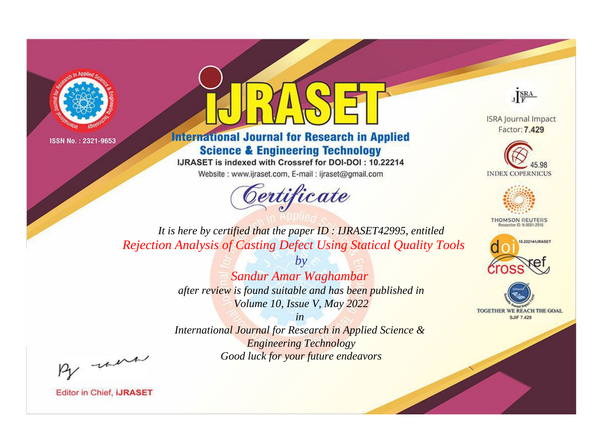



**International Journal for Research in Applied Science & Engineering Technology** 

IJRASET is indexed with Crossref for DOI-DOI: 10.22214

Website: www.ijraset.com, E-mail: ijraset@gmail.com





**ISRA Journal Impact** Factor: 7.429





**THOMSON REUTERS** 



TOGETHER WE REACH THE GOAL **SJIF 7.429** 

*It is here by certified that the paper ID : IJRASET42995, entitled Rejection Analysis of Casting Defect Using Statical Quality Tools*

> *by Sandur Amar Waghambar after review is found suitable and has been published in Volume 10, Issue V, May 2022*

> > *in*

*International Journal for Research in Applied Science & Engineering Technology Good luck for your future endeavors*

By morn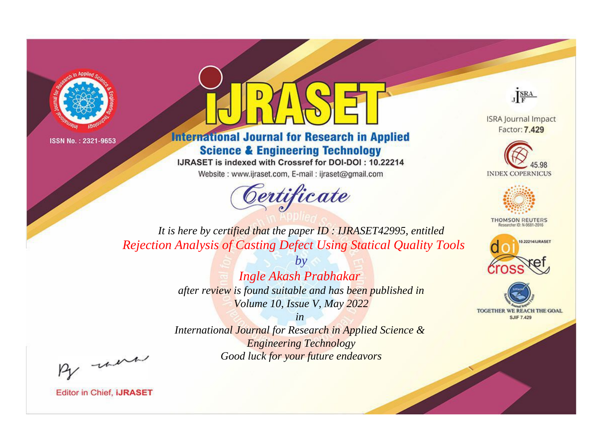



**International Journal for Research in Applied Science & Engineering Technology** 

IJRASET is indexed with Crossref for DOI-DOI: 10.22214

Website: www.ijraset.com, E-mail: ijraset@gmail.com



JERA

**ISRA Journal Impact** Factor: 7.429





**THOMSON REUTERS** 



TOGETHER WE REACH THE GOAL **SJIF 7.429** 

*It is here by certified that the paper ID : IJRASET42995, entitled Rejection Analysis of Casting Defect Using Statical Quality Tools*

> *by Ingle Akash Prabhakar after review is found suitable and has been published in Volume 10, Issue V, May 2022*

> > *in*

*International Journal for Research in Applied Science & Engineering Technology Good luck for your future endeavors*

By morn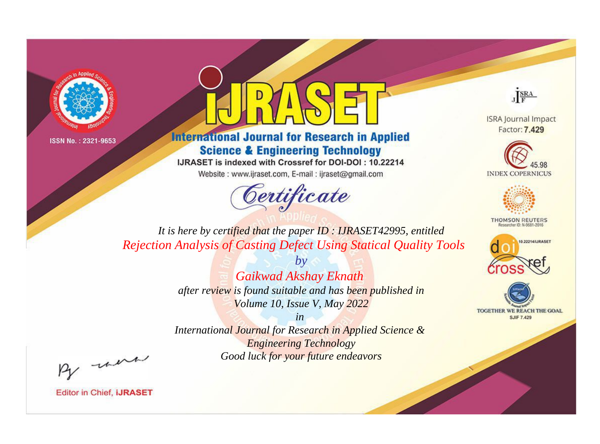



**International Journal for Research in Applied Science & Engineering Technology** 

IJRASET is indexed with Crossref for DOI-DOI: 10.22214

Website: www.ijraset.com, E-mail: ijraset@gmail.com



JERA

**ISRA Journal Impact** Factor: 7.429





**THOMSON REUTERS** 



TOGETHER WE REACH THE GOAL **SJIF 7.429** 

*It is here by certified that the paper ID : IJRASET42995, entitled Rejection Analysis of Casting Defect Using Statical Quality Tools*

> *by Gaikwad Akshay Eknath after review is found suitable and has been published in Volume 10, Issue V, May 2022*

> > *in*

*International Journal for Research in Applied Science & Engineering Technology Good luck for your future endeavors*

By morn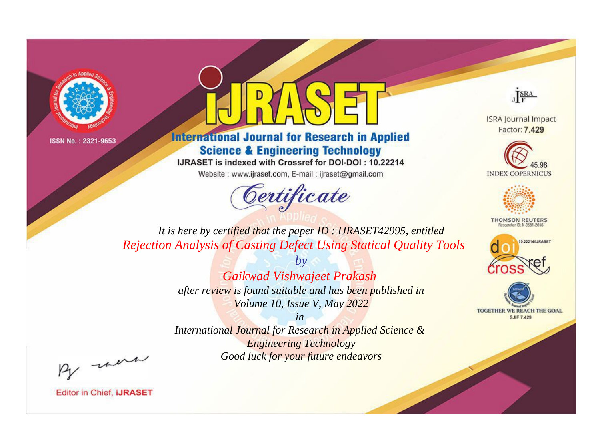



**International Journal for Research in Applied Science & Engineering Technology** 

IJRASET is indexed with Crossref for DOI-DOI: 10.22214

Website: www.ijraset.com, E-mail: ijraset@gmail.com





**ISRA Journal Impact** Factor: 7.429





**THOMSON REUTERS** 



TOGETHER WE REACH THE GOAL **SJIF 7.429** 

*It is here by certified that the paper ID : IJRASET42995, entitled Rejection Analysis of Casting Defect Using Statical Quality Tools*

> *by Gaikwad Vishwajeet Prakash after review is found suitable and has been published in Volume 10, Issue V, May 2022*

*in International Journal for Research in Applied Science & Engineering Technology Good luck for your future endeavors*

By morn